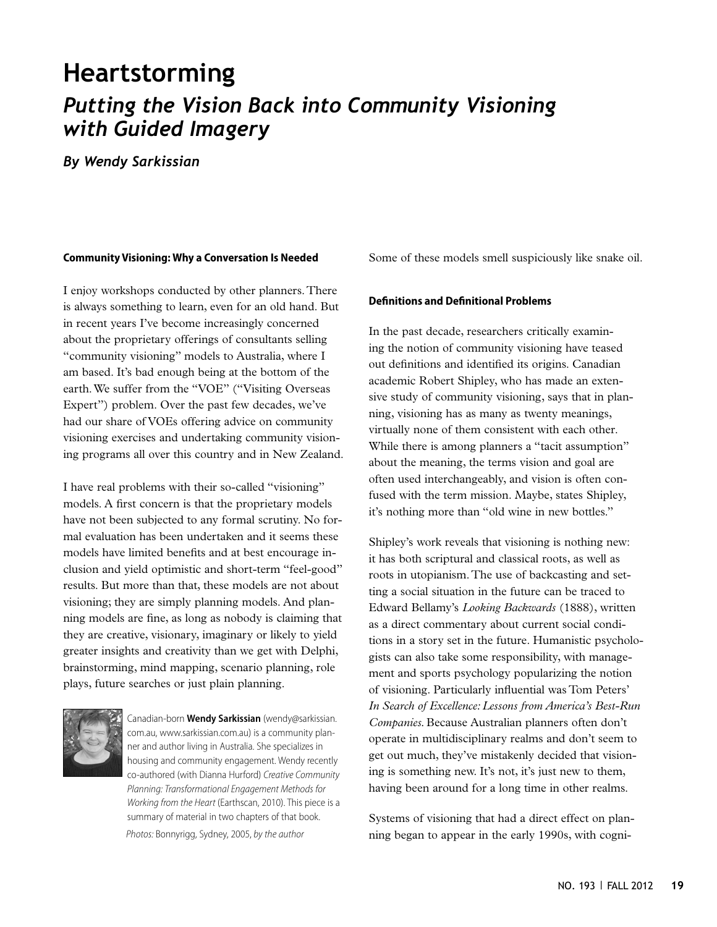# **Heartstorming** *Putting the Vision Back into Community Visioning with Guided Imagery*

*By Wendy Sarkissian*

# **Community Visioning: Why a Conversation Is Needed**

I enjoy workshops conducted by other planners. There is always something to learn, even for an old hand. But in recent years I've become increasingly concerned about the proprietary offerings of consultants selling "community visioning" models to Australia, where I am based. It's bad enough being at the bottom of the earth. We suffer from the "VOE" ("Visiting Overseas Expert") problem. Over the past few decades, we've had our share of VOEs offering advice on community visioning exercises and undertaking community visioning programs all over this country and in New Zealand.

I have real problems with their so-called "visioning" models. A first concern is that the proprietary models have not been subjected to any formal scrutiny. No formal evaluation has been undertaken and it seems these models have limited benefits and at best encourage inclusion and yield optimistic and short-term "feel-good" results. But more than that, these models are not about visioning; they are simply planning models. And planning models are fine, as long as nobody is claiming that they are creative, visionary, imaginary or likely to yield greater insights and creativity than we get with Delphi, brainstorming, mind mapping, scenario planning, role plays, future searches or just plain planning.



Canadian-born **Wendy Sarkissian** (wendy@sarkissian. com.au, www.sarkissian.com.au) is a community planner and author living in Australia. She specializes in housing and community engagement. Wendy recently co-authored (with Dianna Hurford) *Creative Community Planning: Transformational Engagement Methods for Working from the Heart* (Earthscan, 2010). This piece is a summary of material in two chapters of that book. *Photos:* Bonnyrigg, Sydney, 2005, *by the author*

Some of these models smell suspiciously like snake oil.

#### **Definitions and Definitional Problems**

In the past decade, researchers critically examining the notion of community visioning have teased out definitions and identified its origins. Canadian academic Robert Shipley, who has made an extensive study of community visioning, says that in planning, visioning has as many as twenty meanings, virtually none of them consistent with each other. While there is among planners a "tacit assumption" about the meaning, the terms vision and goal are often used interchangeably, and vision is often confused with the term mission. Maybe, states Shipley, it's nothing more than "old wine in new bottles."

Shipley's work reveals that visioning is nothing new: it has both scriptural and classical roots, as well as roots in utopianism. The use of backcasting and setting a social situation in the future can be traced to Edward Bellamy's *Looking Backwards* (1888), written as a direct commentary about current social conditions in a story set in the future. Humanistic psychologists can also take some responsibility, with management and sports psychology popularizing the notion of visioning. Particularly influential was Tom Peters' *In Search of Excellence: Lessons from America's Best-Run Companies.* Because Australian planners often don't operate in multidisciplinary realms and don't seem to get out much, they've mistakenly decided that visioning is something new. It's not, it's just new to them, having been around for a long time in other realms.

Systems of visioning that had a direct effect on planning began to appear in the early 1990s, with cogni-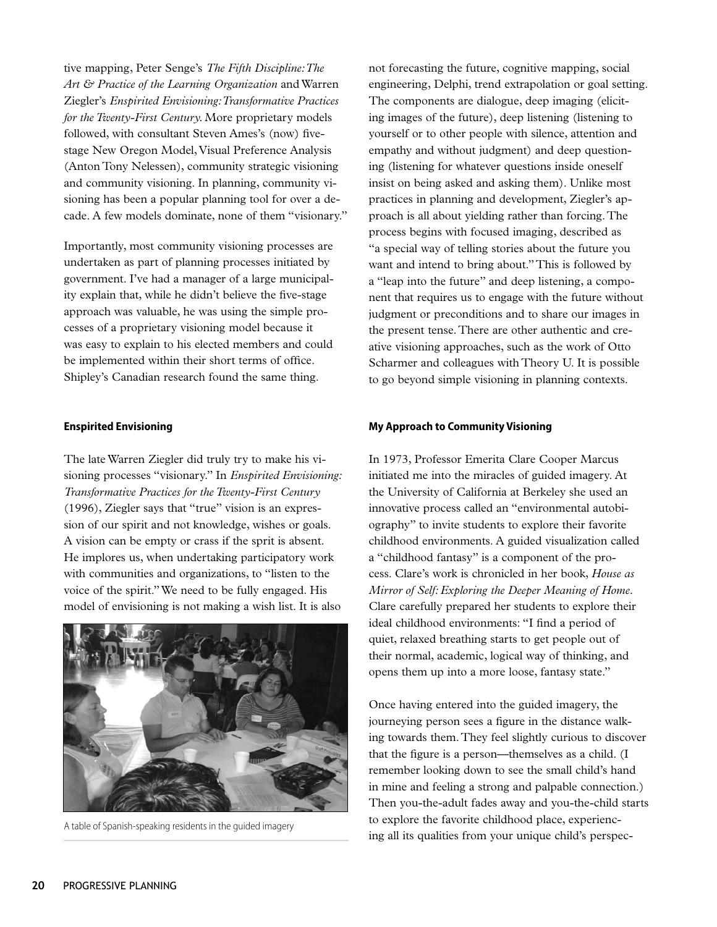tive mapping, Peter Senge's *The Fifth Discipline: The Art & Practice of the Learning Organization* and Warren Ziegler's *Enspirited Envisioning: Transformative Practices for the Twenty-First Century.* More proprietary models followed, with consultant Steven Ames's (now) fivestage New Oregon Model, Visual Preference Analysis (Anton Tony Nelessen), community strategic visioning and community visioning. In planning, community visioning has been a popular planning tool for over a decade. A few models dominate, none of them "visionary."

Importantly, most community visioning processes are undertaken as part of planning processes initiated by government. I've had a manager of a large municipality explain that, while he didn't believe the five-stage approach was valuable, he was using the simple processes of a proprietary visioning model because it was easy to explain to his elected members and could be implemented within their short terms of office. Shipley's Canadian research found the same thing.

# **Enspirited Envisioning**

The late Warren Ziegler did truly try to make his visioning processes "visionary." In *Enspirited Envisioning: Transformative Practices for the Twenty-First Century*  (1996), Ziegler says that "true" vision is an expression of our spirit and not knowledge, wishes or goals. A vision can be empty or crass if the sprit is absent. He implores us, when undertaking participatory work with communities and organizations, to "listen to the voice of the spirit." We need to be fully engaged. His model of envisioning is not making a wish list. It is also



not forecasting the future, cognitive mapping, social engineering, Delphi, trend extrapolation or goal setting. The components are dialogue, deep imaging (eliciting images of the future), deep listening (listening to yourself or to other people with silence, attention and empathy and without judgment) and deep questioning (listening for whatever questions inside oneself insist on being asked and asking them). Unlike most practices in planning and development, Ziegler's approach is all about yielding rather than forcing. The process begins with focused imaging, described as "a special way of telling stories about the future you want and intend to bring about." This is followed by a "leap into the future" and deep listening, a component that requires us to engage with the future without judgment or preconditions and to share our images in the present tense. There are other authentic and creative visioning approaches, such as the work of Otto Scharmer and colleagues with Theory U. It is possible to go beyond simple visioning in planning contexts.

# **My Approach to Community Visioning**

In 1973, Professor Emerita Clare Cooper Marcus initiated me into the miracles of guided imagery. At the University of California at Berkeley she used an innovative process called an "environmental autobiography" to invite students to explore their favorite childhood environments. A guided visualization called a "childhood fantasy" is a component of the process. Clare's work is chronicled in her book, *House as Mirror of Self: Exploring the Deeper Meaning of Home.*  Clare carefully prepared her students to explore their ideal childhood environments: "I find a period of quiet, relaxed breathing starts to get people out of their normal, academic, logical way of thinking, and opens them up into a more loose, fantasy state."

Once having entered into the guided imagery, the journeying person sees a figure in the distance walking towards them. They feel slightly curious to discover that the figure is a person—themselves as a child. (I remember looking down to see the small child's hand in mine and feeling a strong and palpable connection.) Then you-the-adult fades away and you-the-child starts to explore the favorite childhood place, experienc-A table of Spanish-speaking residents in the guided imagery<br>
ing all its qualities from your unique child's perspec-<br>
ing all its qualities from your unique child's perspec-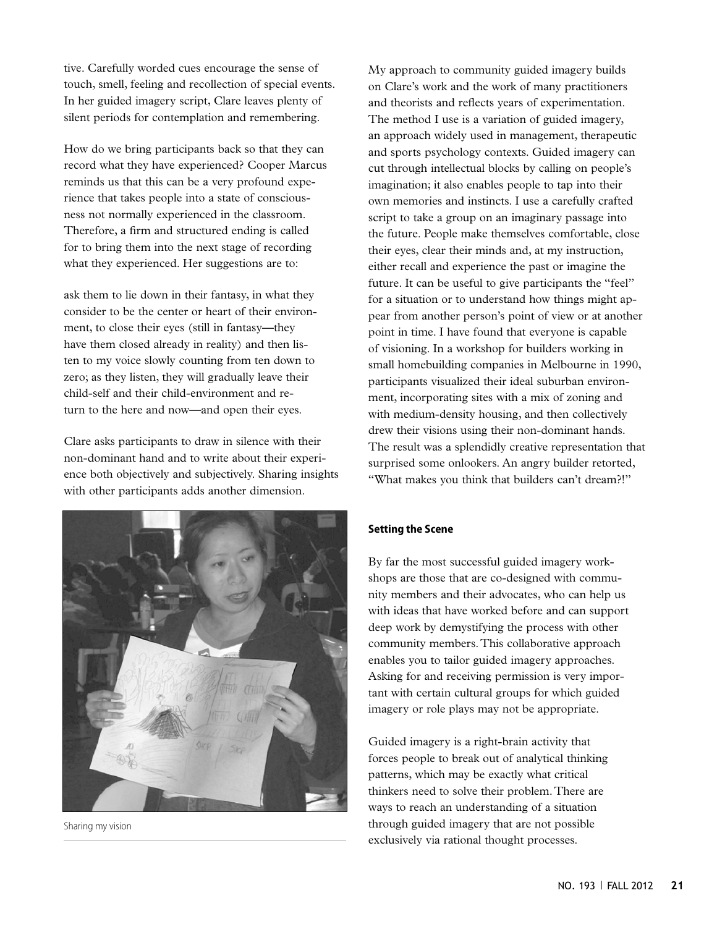tive. Carefully worded cues encourage the sense of touch, smell, feeling and recollection of special events. In her guided imagery script, Clare leaves plenty of silent periods for contemplation and remembering.

How do we bring participants back so that they can record what they have experienced? Cooper Marcus reminds us that this can be a very profound experience that takes people into a state of consciousness not normally experienced in the classroom. Therefore, a firm and structured ending is called for to bring them into the next stage of recording what they experienced. Her suggestions are to:

ask them to lie down in their fantasy, in what they consider to be the center or heart of their environment, to close their eyes (still in fantasy—they have them closed already in reality) and then listen to my voice slowly counting from ten down to zero; as they listen, they will gradually leave their child-self and their child-environment and return to the here and now—and open their eyes.

Clare asks participants to draw in silence with their non-dominant hand and to write about their experience both objectively and subjectively. Sharing insights with other participants adds another dimension.



Sharing my vision

My approach to community guided imagery builds on Clare's work and the work of many practitioners and theorists and reflects years of experimentation. The method I use is a variation of guided imagery, an approach widely used in management, therapeutic and sports psychology contexts. Guided imagery can cut through intellectual blocks by calling on people's imagination; it also enables people to tap into their own memories and instincts. I use a carefully crafted script to take a group on an imaginary passage into the future. People make themselves comfortable, close their eyes, clear their minds and, at my instruction, either recall and experience the past or imagine the future. It can be useful to give participants the "feel" for a situation or to understand how things might appear from another person's point of view or at another point in time. I have found that everyone is capable of visioning. In a workshop for builders working in small homebuilding companies in Melbourne in 1990, participants visualized their ideal suburban environment, incorporating sites with a mix of zoning and with medium-density housing, and then collectively drew their visions using their non-dominant hands. The result was a splendidly creative representation that surprised some onlookers. An angry builder retorted, "What makes you think that builders can't dream?!"

# **Setting the Scene**

By far the most successful guided imagery workshops are those that are co-designed with community members and their advocates, who can help us with ideas that have worked before and can support deep work by demystifying the process with other community members. This collaborative approach enables you to tailor guided imagery approaches. Asking for and receiving permission is very important with certain cultural groups for which guided imagery or role plays may not be appropriate.

Guided imagery is a right-brain activity that forces people to break out of analytical thinking patterns, which may be exactly what critical thinkers need to solve their problem. There are ways to reach an understanding of a situation through guided imagery that are not possible exclusively via rational thought processes.